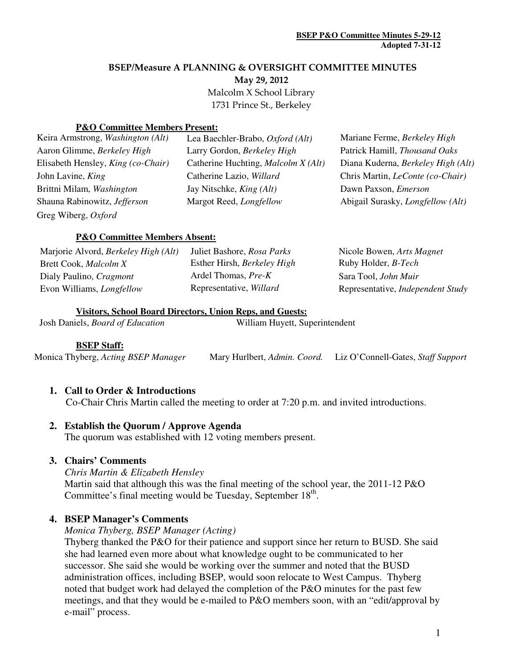### BSEP/Measure A PLANNING & OVERSIGHT COMMITTEE MINUTES

May 29, 2012

 Malcolm X School Library 1731 Prince St., Berkeley

### **P&O Committee Members Present:**

| Keira Armstrong, Washington (Alt)  | Lea Baechler-Brabo, Oxford (Alt)    | Mariane Ferme, Berkeley High                      |
|------------------------------------|-------------------------------------|---------------------------------------------------|
| Aaron Glimme, Berkeley High        | Larry Gordon, Berkeley High         | Patrick Hamill, Thousand Oaks                     |
| Elisabeth Hensley, King (co-Chair) | Catherine Huchting, Malcolm X (Alt) | Diana Kuderna, Berkeley High (Alt)                |
| John Lavine, King                  | Catherine Lazio, Willard            | Chris Martin, <i>LeConte</i> (co-Chair)           |
| Brittni Milam, Washington          | Jay Nitschke, <i>King (Alt)</i>     | Dawn Paxson, <i>Emerson</i>                       |
| Shauna Rabinowitz, Jefferson       | Margot Reed, <i>Longfellow</i>      | Abigail Surasky, <i>Longfellow</i> ( <i>Alt</i> ) |
| Greg Wiberg, Oxford                |                                     |                                                   |

### **P&O Committee Members Absent:**

| Marjorie Alvord, Berkeley High (Alt) | Juliet Bashore, Rosa Parks  | Nicole Bowen, Arts Magnet         |
|--------------------------------------|-----------------------------|-----------------------------------|
| Brett Cook, <i>Malcolm X</i>         | Esther Hirsh, Berkeley High | Ruby Holder, <i>B-Tech</i>        |
| Dialy Paulino, Cragmont              | Ardel Thomas, Pre-K         | Sara Tool, John Muir              |
| Evon Williams, <i>Longfellow</i>     | Representative, Willard     | Representative, Independent Study |

## **Visitors, School Board Directors, Union Reps, and Guests:**

Josh Daniels, *Board of Education* William Huyett, Superintendent

#### **BSEP Staff:**

Monica Thyberg, *Acting BSEP Manager* Mary Hurlbert, *Admin. Coord.* Liz O'Connell-Gates, *Staff Support* 

## **1. Call to Order & Introductions**

Co-Chair Chris Martin called the meeting to order at 7:20 p.m. and invited introductions.

## **2. Establish the Quorum / Approve Agenda**

The quorum was established with 12 voting members present.

## **3. Chairs' Comments**

#### *Chris Martin & Elizabeth Hensley*

Martin said that although this was the final meeting of the school year, the 2011-12 P&O Committee's final meeting would be Tuesday, September 18<sup>th</sup>.

## **4. BSEP Manager's Comments**

#### *Monica Thyberg, BSEP Manager (Acting)*

Thyberg thanked the P&O for their patience and support since her return to BUSD. She said she had learned even more about what knowledge ought to be communicated to her successor. She said she would be working over the summer and noted that the BUSD administration offices, including BSEP, would soon relocate to West Campus. Thyberg noted that budget work had delayed the completion of the P&O minutes for the past few meetings, and that they would be e-mailed to P&O members soon, with an "edit/approval by e-mail" process.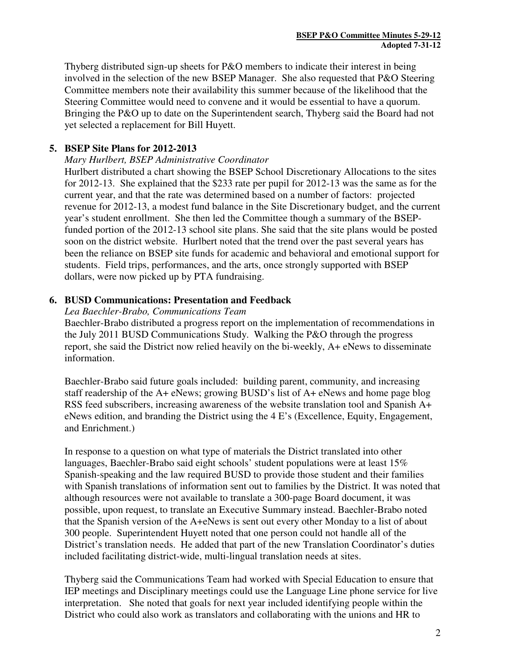Thyberg distributed sign-up sheets for P&O members to indicate their interest in being involved in the selection of the new BSEP Manager. She also requested that P&O Steering Committee members note their availability this summer because of the likelihood that the Steering Committee would need to convene and it would be essential to have a quorum. Bringing the P&O up to date on the Superintendent search, Thyberg said the Board had not yet selected a replacement for Bill Huyett.

# **5. BSEP Site Plans for 2012-2013**

## *Mary Hurlbert, BSEP Administrative Coordinator*

Hurlbert distributed a chart showing the BSEP School Discretionary Allocations to the sites for 2012-13. She explained that the \$233 rate per pupil for 2012-13 was the same as for the current year, and that the rate was determined based on a number of factors: projected revenue for 2012-13, a modest fund balance in the Site Discretionary budget, and the current year's student enrollment. She then led the Committee though a summary of the BSEPfunded portion of the 2012-13 school site plans. She said that the site plans would be posted soon on the district website. Hurlbert noted that the trend over the past several years has been the reliance on BSEP site funds for academic and behavioral and emotional support for students. Field trips, performances, and the arts, once strongly supported with BSEP dollars, were now picked up by PTA fundraising.

# **6. BUSD Communications: Presentation and Feedback**

### *Lea Baechler-Brabo, Communications Team*

Baechler-Brabo distributed a progress report on the implementation of recommendations in the July 2011 BUSD Communications Study. Walking the P&O through the progress report, she said the District now relied heavily on the bi-weekly, A+ eNews to disseminate information.

Baechler-Brabo said future goals included: building parent, community, and increasing staff readership of the A+ eNews; growing BUSD's list of A+ eNews and home page blog RSS feed subscribers, increasing awareness of the website translation tool and Spanish A+ eNews edition, and branding the District using the 4 E's (Excellence, Equity, Engagement, and Enrichment.)

In response to a question on what type of materials the District translated into other languages, Baechler-Brabo said eight schools' student populations were at least 15% Spanish-speaking and the law required BUSD to provide those student and their families with Spanish translations of information sent out to families by the District. It was noted that although resources were not available to translate a 300-page Board document, it was possible, upon request, to translate an Executive Summary instead. Baechler-Brabo noted that the Spanish version of the A+eNews is sent out every other Monday to a list of about 300 people. Superintendent Huyett noted that one person could not handle all of the District's translation needs. He added that part of the new Translation Coordinator's duties included facilitating district-wide, multi-lingual translation needs at sites.

Thyberg said the Communications Team had worked with Special Education to ensure that IEP meetings and Disciplinary meetings could use the Language Line phone service for live interpretation. She noted that goals for next year included identifying people within the District who could also work as translators and collaborating with the unions and HR to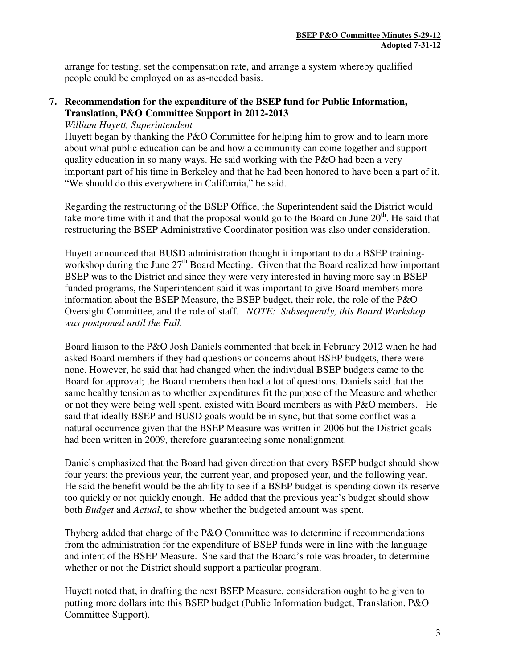arrange for testing, set the compensation rate, and arrange a system whereby qualified people could be employed on as as-needed basis.

# **7. Recommendation for the expenditure of the BSEP fund for Public Information, Translation, P&O Committee Support in 2012-2013**

*William Huyett, Superintendent* 

Huyett began by thanking the P&O Committee for helping him to grow and to learn more about what public education can be and how a community can come together and support quality education in so many ways. He said working with the P&O had been a very important part of his time in Berkeley and that he had been honored to have been a part of it. "We should do this everywhere in California," he said.

Regarding the restructuring of the BSEP Office, the Superintendent said the District would take more time with it and that the proposal would go to the Board on June  $20<sup>th</sup>$ . He said that restructuring the BSEP Administrative Coordinator position was also under consideration.

Huyett announced that BUSD administration thought it important to do a BSEP trainingworkshop during the June  $27<sup>th</sup>$  Board Meeting. Given that the Board realized how important BSEP was to the District and since they were very interested in having more say in BSEP funded programs, the Superintendent said it was important to give Board members more information about the BSEP Measure, the BSEP budget, their role, the role of the P&O Oversight Committee, and the role of staff. *NOTE: Subsequently, this Board Workshop was postponed until the Fall.* 

Board liaison to the P&O Josh Daniels commented that back in February 2012 when he had asked Board members if they had questions or concerns about BSEP budgets, there were none. However, he said that had changed when the individual BSEP budgets came to the Board for approval; the Board members then had a lot of questions. Daniels said that the same healthy tension as to whether expenditures fit the purpose of the Measure and whether or not they were being well spent, existed with Board members as with P&O members. He said that ideally BSEP and BUSD goals would be in sync, but that some conflict was a natural occurrence given that the BSEP Measure was written in 2006 but the District goals had been written in 2009, therefore guaranteeing some nonalignment.

Daniels emphasized that the Board had given direction that every BSEP budget should show four years: the previous year, the current year, and proposed year, and the following year. He said the benefit would be the ability to see if a BSEP budget is spending down its reserve too quickly or not quickly enough. He added that the previous year's budget should show both *Budget* and *Actual*, to show whether the budgeted amount was spent.

Thyberg added that charge of the P&O Committee was to determine if recommendations from the administration for the expenditure of BSEP funds were in line with the language and intent of the BSEP Measure. She said that the Board's role was broader, to determine whether or not the District should support a particular program.

Huyett noted that, in drafting the next BSEP Measure, consideration ought to be given to putting more dollars into this BSEP budget (Public Information budget, Translation, P&O Committee Support).